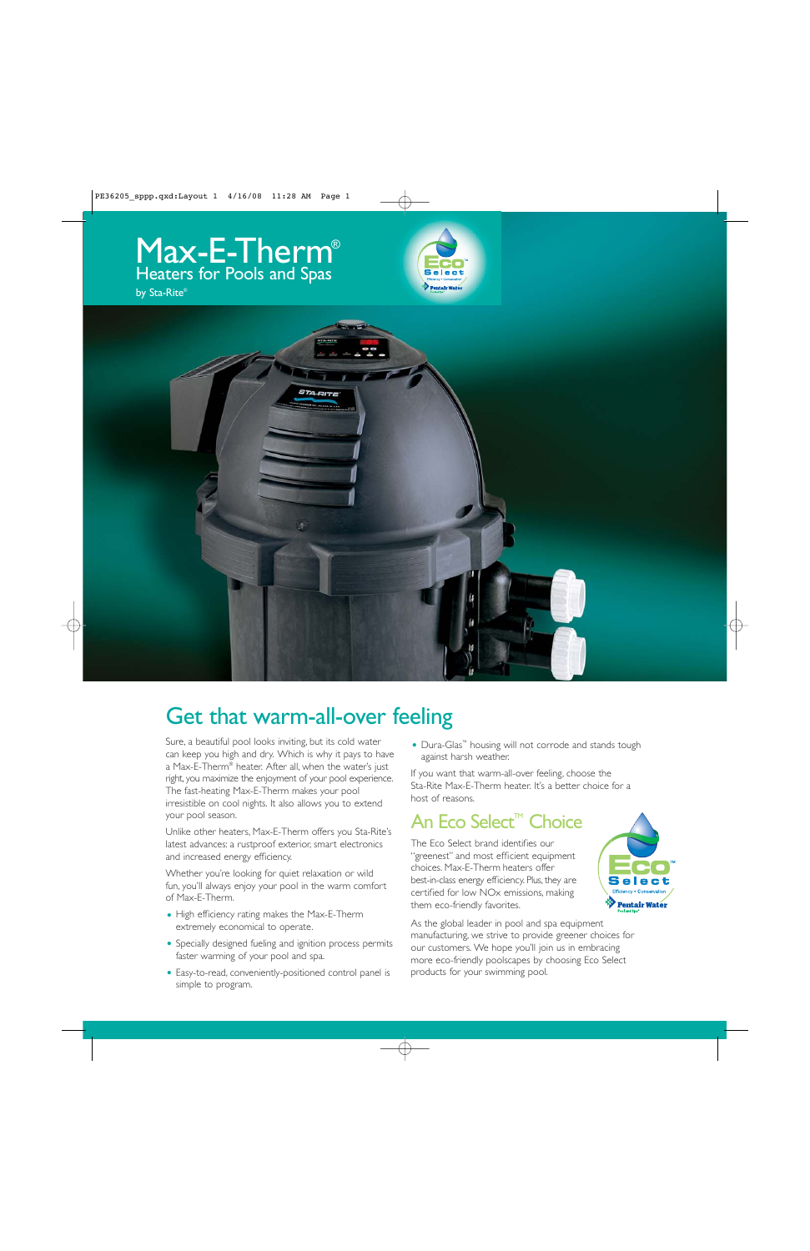





# Get that warm-all-over feeling

Sure, a beautiful pool looks inviting, but its cold water can keep you high and dry. Which is why it pays to have a Max-E-Therm® heater. After all, when the water's just right, you maximize the enjoyment of your pool experience. The fast-heating Max-E-Therm makes your pool irresistible on cool nights. It also allows you to extend your pool season.

Unlike other heaters, Max-E-Therm offers you Sta-Rite's latest advances: a rustproof exterior, smart electronics and increased energy efficiency.

Whether you're looking for quiet relaxation or wild fun, you'll always enjoy your pool in the warm comfort of Max-E-Therm.

- High efficiency rating makes the Max-E-Therm extremely economical to operate.
- Specially designed fueling and ignition process permits faster warming of your pool and spa.
- Easy-to-read, conveniently-positioned control panel is simple to program.

• Dura-Glas™ housing will not corrode and stands tough against harsh weather.

If you want that warm-all-over feeling, choose the Sta-Rite Max-E-Therm heater. It's a better choice for a host of reasons.

## An Eco Select<sup>™</sup> Choice

The Eco Select brand identifies our "greenest" and most efficient equipment choices. Max-E-Therm heaters offer best-in-class energy efficiency. Plus, they are certified for low NOx emissions, making them eco-friendly favorites.